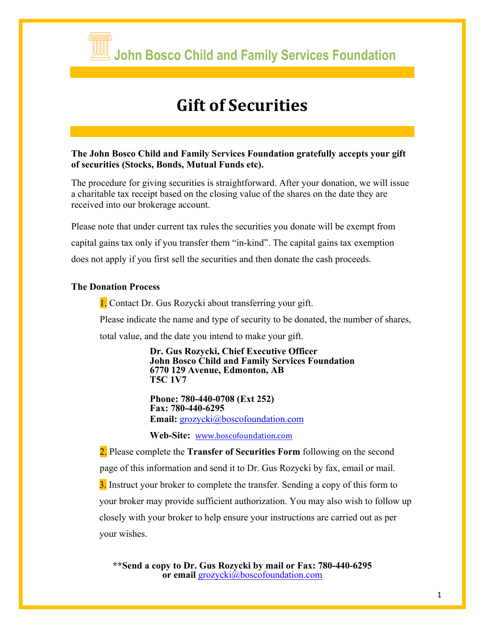**John Bosco Child and Family Services Foundation**

## **Gift of Securities**

**The John Bosco Child and Family Services Foundation gratefully accepts your gift of securities (Stocks, Bonds, Mutual Funds etc).**

The procedure for giving securities is straightforward. After your donation, we will issue a charitable tax receipt based on the closing value of the shares on the date they are received into our brokerage account.

Please note that under current tax rules the securities you donate will be exempt from capital gains tax only if you transfer them "in-kind". The capital gains tax exemption does not apply if you first sell the securities and then donate the cash proceeds.

#### **The Donation Process**

1. Contact Dr. Gus Rozycki about transferring your gift.

Please indicate the name and type of security to be donated, the number of shares,

total value, and the date you intend to make your gift.

**Dr. Gus Rozycki, Chief Executive Officer John Bosco Child and Family Services Foundation 6770 129 Avenue, Edmonton, AB T5C 1V7**

**Phone: 780-440-0708 (Ext 252) Fax: 780-440-6295 Email:** grozycki@boscofoundation.com

**Web-Site:** www.boscofoundation.com

2. Please complete the **Transfer of Securities Form** following on the second page of this information and send it to Dr. Gus Rozycki by fax, email or mail. 3. Instruct your broker to complete the transfer. Sending a copy of this form to your broker may provide sufficient authorization. You may also wish to follow up closely with your broker to help ensure your instructions are carried out as per your wishes.

**\*\*Send a copy to Dr. Gus Rozycki by mail or Fax: 780-440-6295 or email** grozycki@boscofoundation.com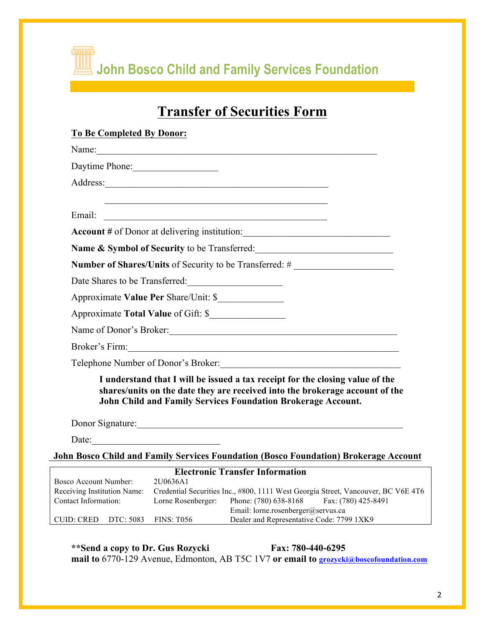**John Bosco Child and Family Services Foundation**

## **Transfer of Securities Form**

| Daytime Phone:                                              |                                                                                                                     |                                                                                                                                                                                                                               |
|-------------------------------------------------------------|---------------------------------------------------------------------------------------------------------------------|-------------------------------------------------------------------------------------------------------------------------------------------------------------------------------------------------------------------------------|
|                                                             |                                                                                                                     |                                                                                                                                                                                                                               |
| Email:                                                      | <u> 1989 - Johann Barn, mars ann an t-Amhain an t-Amhain an t-Amhain an t-Amhain an t-Amhain an t-Amhain an t-A</u> |                                                                                                                                                                                                                               |
|                                                             |                                                                                                                     | <b>Account # of Donor at delivering institution:</b>                                                                                                                                                                          |
|                                                             |                                                                                                                     |                                                                                                                                                                                                                               |
|                                                             |                                                                                                                     | <b>Number of Shares/Units</b> of Security to be Transferred: #                                                                                                                                                                |
| Date Shares to be Transferred:                              |                                                                                                                     |                                                                                                                                                                                                                               |
| Approximate Value Per Share/Unit: \$                        |                                                                                                                     |                                                                                                                                                                                                                               |
| Approximate Total Value of Gift: \$                         |                                                                                                                     |                                                                                                                                                                                                                               |
|                                                             |                                                                                                                     | Name of Donor's Broker:                                                                                                                                                                                                       |
|                                                             |                                                                                                                     | Broker's Firm:                                                                                                                                                                                                                |
|                                                             |                                                                                                                     | Telephone Number of Donor's Broker:                                                                                                                                                                                           |
|                                                             |                                                                                                                     | I understand that I will be issued a tax receipt for the closing value of the<br>shares/units on the date they are received into the brokerage account of the<br>John Child and Family Services Foundation Brokerage Account. |
|                                                             |                                                                                                                     | Donor Signature:                                                                                                                                                                                                              |
| Date:                                                       |                                                                                                                     |                                                                                                                                                                                                                               |
|                                                             |                                                                                                                     | John Bosco Child and Family Services Foundation (Bosco Foundation) Brokerage Account                                                                                                                                          |
| <b>Bosco Account Number:</b><br>Receiving Institution Name: | 2U0636A1                                                                                                            | <b>Electronic Transfer Information</b><br>Credential Securities Inc., #800, 1111 West Georgia Street, Vancouver, BC V6E 4T6                                                                                                   |
| Contact Information:<br>CUID: CRED DTC: 5083                | Lorne Rosenberger:<br><b>FINS: T056</b>                                                                             | Phone: (780) 638-8168 Fax: (780) 425-8491<br>Email: lorne.rosenberger@servus.ca<br>Dealer and Representative Code: 7799 1XK9                                                                                                  |

**\*\*Send a copy to Dr. Gus Rozycki Fax: 780-440-6295 mail to** 6770-129 Avenue, Edmonton, AB T5C 1V7 **or email to grozycki@boscofoundation.com**